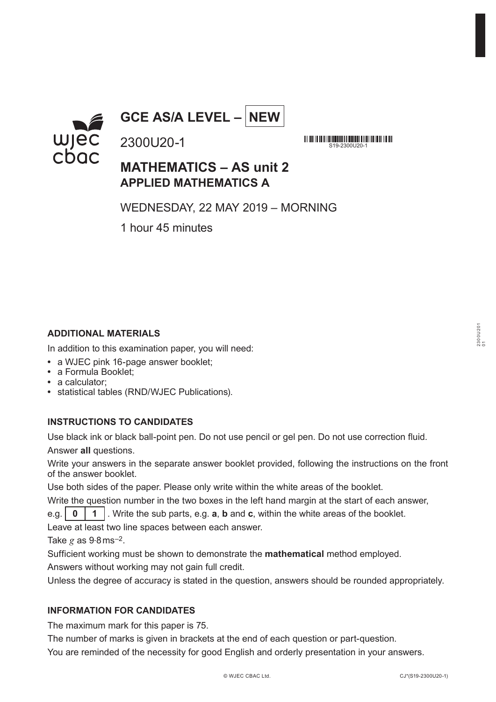

### **GCE AS/A LEVEL – NEW**

<u> Ali ani in ani ini ambandan manan a ilali ani ani ilay an</u> S19-2300U20-1

### **MATHEMATICS – AS unit 2 APPLIED MATHEMATICS A**

WEDNESDAY, 22 MAY 2019 – MORNING

1 hour 45 minutes

2300U20-1

### **ADDITIONAL MATERIALS**

In addition to this examination paper, you will need:

- **•** a WJEC pink 16-page answer booklet;
- **•** a Formula Booklet;
- **•** a calculator;
- **•** statistical tables (RND/WJEC Publications).

### **INSTRUCTIONS TO CANDIDATES**

Use black ink or black ball-point pen. Do not use pencil or gel pen. Do not use correction fluid.

Answer **all** questions.

Write your answers in the separate answer booklet provided, following the instructions on the front of the answer booklet.

Use both sides of the paper. Please only write within the white areas of the booklet.

Write the question number in the two boxes in the left hand margin at the start of each answer,

e.g. **0 1** . Write the sub parts, e.g. **a**, **b** and **c**, within the white areas of the booklet.

Leave at least two line spaces between each answer.

Take  $g$  as  $9.8$  ms<sup>-2</sup>.

Sufficient working must be shown to demonstrate the **mathematical** method employed. Answers without working may not gain full credit.

Unless the degree of accuracy is stated in the question, answers should be rounded appropriately.

### **INFORMATION FOR CANDIDATES**

The maximum mark for this paper is 75.

The number of marks is given in brackets at the end of each question or part-question.

You are reminded of the necessity for good English and orderly presentation in your answers.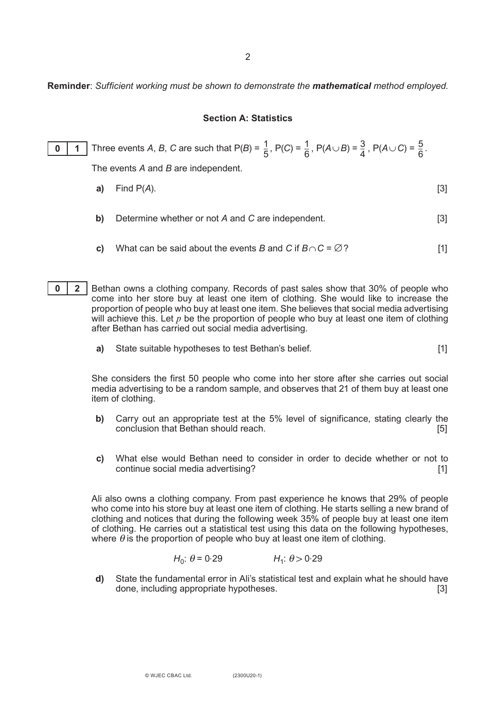**Reminder**: *Sufficient working must be shown to demonstrate the mathematical method employed.*

#### **Section A: Statistics**

- **0** 1 Three events *A*, *B*, *C* are such that  $P(B) = \frac{1}{5}$ ,  $P(C) = \frac{1}{6}$ ,  $P(A \cup B) = \frac{3}{4}$ ,  $P(A \cup C) = \frac{5}{6}$ . The events *A* and *B* are independent. **a)** Find P(*A*). [3] **0 1** 5  $\overline{1}$ 6 3 4 5 6
	- **b)** Determine whether or not *A* and *C* are independent. [3]
	- **c)** What can be said about the events *B* and *C* if  $B \cap C = \emptyset$ ? [1]
	- **0** 2 Bethan owns a clothing company. Records of past sales show that 30% of people who come into her store buy at least one item of clothing. She would like to increase the proportion of people who buy at least one item. She believes that social media advertising will achieve this. Let p be the proportion of people who buy at least one item of clothing after Bethan has carried out social media advertising. **0 2**
		- **a)** State suitable hypotheses to test Bethan's belief. **EXECUTE:** [1]

 She considers the first 50 people who come into her store after she carries out social media advertising to be a random sample, and observes that 21 of them buy at least one item of clothing.

- **b)** Carry out an appropriate test at the 5% level of significance, stating clearly the conclusion that Bethan should reach. [5]
- **c)** What else would Bethan need to consider in order to decide whether or not to continue social media advertising? [1]

 Ali also owns a clothing company. From past experience he knows that 29% of people who come into his store buy at least one item of clothing. He starts selling a new brand of clothing and notices that during the following week 35% of people buy at least one item of clothing. He carries out a statistical test using this data on the following hypotheses, where  $\theta$  is the proportion of people who buy at least one item of clothing.

$$
H_0: \theta = 0.29 \qquad H_1: \theta > 0.29
$$

**d)** State the fundamental error in Ali's statistical test and explain what he should have done, including appropriate hypotheses. **Example 20** and the state of  $\lceil 3 \rceil$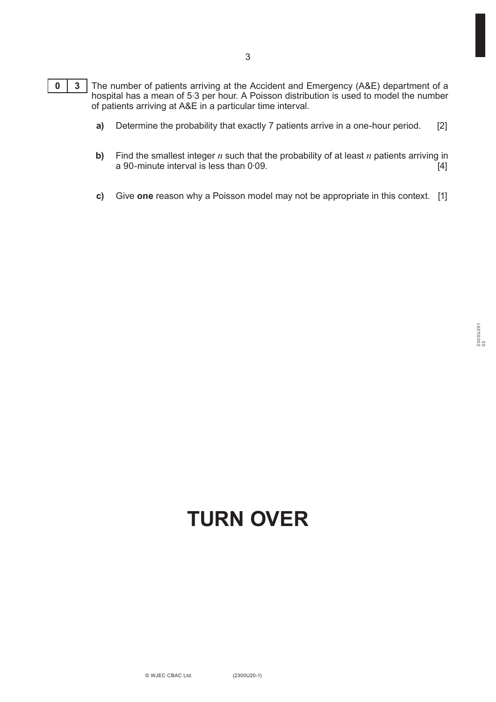| ×<br>۰. | ×<br>۰. |
|---------|---------|
|         |         |

- | 0 | 3 | The number of patients arriving at the Accident and Emergency (A&E) department of a hospital has a mean of 5. 3 per hour. A Poisson distribution is used to model the number of patients arriving at A&E in a particular time interval.
	- **a)** Determine the probability that exactly 7 patients arrive in a one-hour period. [2]
	- **b)** Find the smallest integer *n* such that the probability of at least *n* patients arriving in a 90-minute interval is less than 0.09. a 90-minute interval is less than 0.  $09.$  [4]
	- **c)** Give **one** reason why a Poisson model may not be appropriate in this context. [1]

# **TURN OVER**

2300U201 2300U201<br>03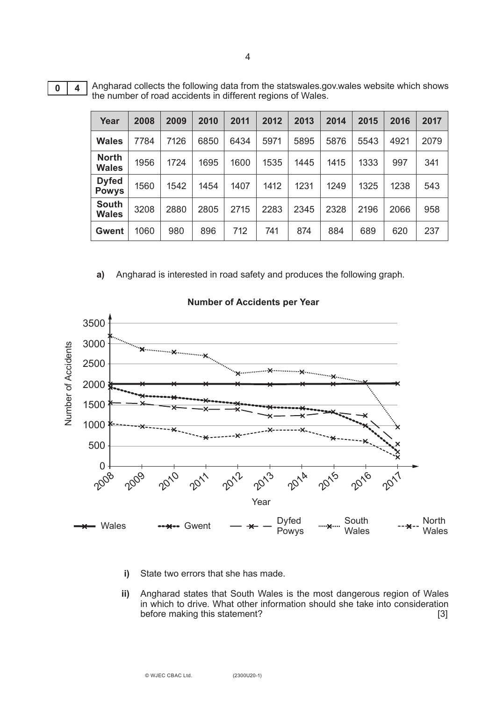**0 4** Angharad collects the following data from the statswales.gov.wales website which shows the number of road accidents in different regions of Wales.

| Year                         | 2008 | 2009 | 2010 | 2011 | 2012 | 2013 | 2014 | 2015 | 2016 | 2017 |
|------------------------------|------|------|------|------|------|------|------|------|------|------|
| <b>Wales</b>                 | 7784 | 7126 | 6850 | 6434 | 5971 | 5895 | 5876 | 5543 | 4921 | 2079 |
| <b>North</b><br><b>Wales</b> | 1956 | 1724 | 1695 | 1600 | 1535 | 1445 | 1415 | 1333 | 997  | 341  |
| <b>Dyfed</b><br><b>Powys</b> | 1560 | 1542 | 1454 | 1407 | 1412 | 1231 | 1249 | 1325 | 1238 | 543  |
| <b>South</b><br><b>Wales</b> | 3208 | 2880 | 2805 | 2715 | 2283 | 2345 | 2328 | 2196 | 2066 | 958  |
| <b>Gwent</b>                 | 1060 | 980  | 896  | 712  | 741  | 874  | 884  | 689  | 620  | 237  |

**a)** Angharad is interested in road safety and produces the following graph.



#### **Number of Accidents per Year**

- **i)** State two errors that she has made.
- **ii)** Angharad states that South Wales is the most dangerous region of Wales in which to drive. What other information should she take into consideration<br>before making this statement? [3] before making this statement?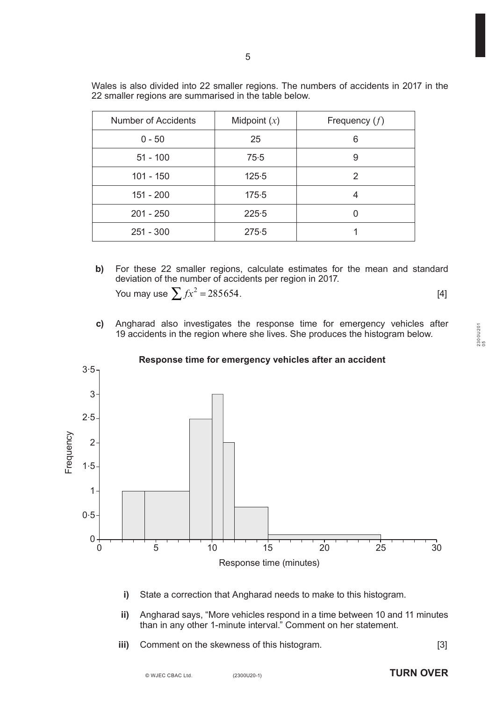Wales is also divided into 22 smaller regions. The numbers of accidents in 2017 in the 22 smaller regions are summarised in the table below.

| <b>Number of Accidents</b> | Midpoint $(x)$ | Frequency $(f)$ |
|----------------------------|----------------|-----------------|
| $0 - 50$                   | 25             | 6               |
| $51 - 100$                 | 75.5           | 9               |
| $101 - 150$                | 125.5          | 2               |
| 151 - 200                  | 175.5          |                 |
| $201 - 250$                | 225.5          | 0               |
| $251 - 300$                | 275.5          |                 |

5

**b)** For these 22 smaller regions, calculate estimates for the mean and standard deviation of the number of accidents per region in 2017.

You may use 
$$
\sum fx^2 = 285654
$$
. [4]

2300U201 2300U201<br>05

**c)** Angharad also investigates the response time for emergency vehicles after 19 accidents in the region where she lives. She produces the histogram below.



- **i)** State a correction that Angharad needs to make to this histogram.
- **ii)** Angharad says, "More vehicles respond in a time between 10 and 11 minutes than in any other 1-minute interval." Comment on her statement.
- **iii)** Comment on the skewness of this histogram. [3]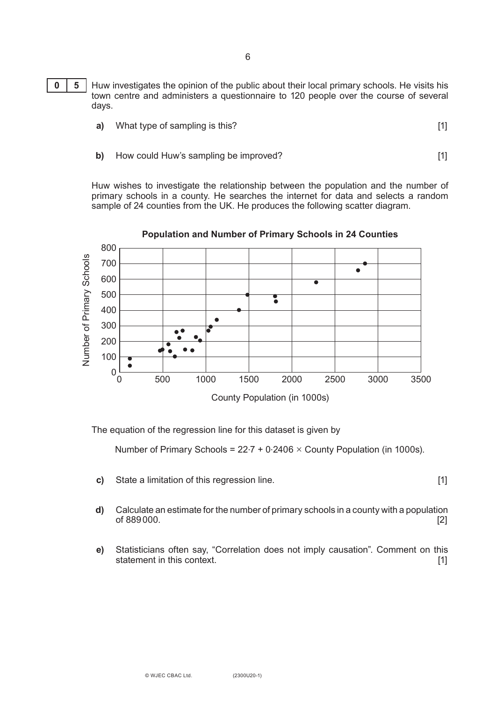**0 5** Huw investigates the opinion of the public about their local primary schools. He visits his town centre and administers a questionnaire to 120 people over the course of several days.

- **a)** What type of sampling is this?
- **b)** How could Huw's sampling be improved? [1]

 Huw wishes to investigate the relationship between the population and the number of primary schools in a county. He searches the internet for data and selects a random sample of 24 counties from the UK. He produces the following scatter diagram.



**Population and Number of Primary Schools in 24 Counties**

The equation of the regression line for this dataset is given by

Number of Primary Schools =  $22.7 + 0.2406 \times$  County Population (in 1000s).

- **c)** State a limitation of this regression line. [1]
- **d)** Calculate an estimate for the number of primary schools in a county with a population of 889000. [2]
- **e)** Statisticians often say, "Correlation does not imply causation". Comment on this statement in this context.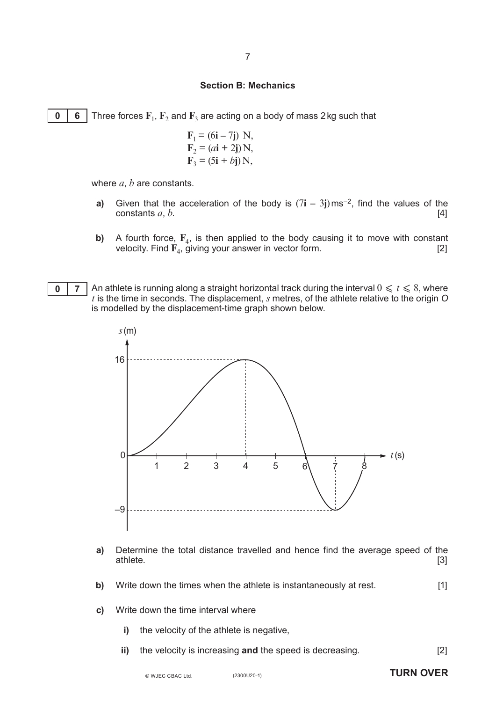#### **Section B: Mechanics**

**0 6** Three forces  $\mathbf{F}_1$ ,  $\mathbf{F}_2$  and  $\mathbf{F}_3$  are acting on a body of mass 2kg such that

$$
\mathbf{F}_1 = (6\mathbf{i} - 7\mathbf{j}) \text{ N}, \n\mathbf{F}_2 = (a\mathbf{i} + 2\mathbf{j}) \text{ N}, \n\mathbf{F}_3 = (5\mathbf{i} + b\mathbf{j}) \text{ N},
$$

where *a*, *b* are constants.

- **a)** Given that the acceleration of the body is  $(7\mathbf{i} 3\mathbf{j})$ ms<sup>-2</sup>, find the values of the constants a, b. constants  $a, b$ .
- **b)** A fourth force,  $\mathbf{F}_4$ , is then applied to the body causing it to move with constant velocity. Find  $\mathbf{F}_4$ , giving your answer in vector form. velocity. Find  $\mathbf{F}_4$ , giving your answer in vector form.
- **0 7 | 0 | 7** | An athlete is running along a straight horizontal track during the interval  $0 \leq t \leq 8$ , where *t* is the time in seconds. The displacement, *s* metres, of the athlete relative to the origin *O*  is modelled by the displacement-time graph shown below.



- **a)** Determine the total distance travelled and hence find the average speed of the athlete. [3]
- **b)** Write down the times when the athlete is instantaneously at rest. [1]
- **c)** Write down the time interval where
	- **i)** the velocity of the athlete is negative,
	- **ii)** the velocity is increasing **and** the speed is decreasing. [2]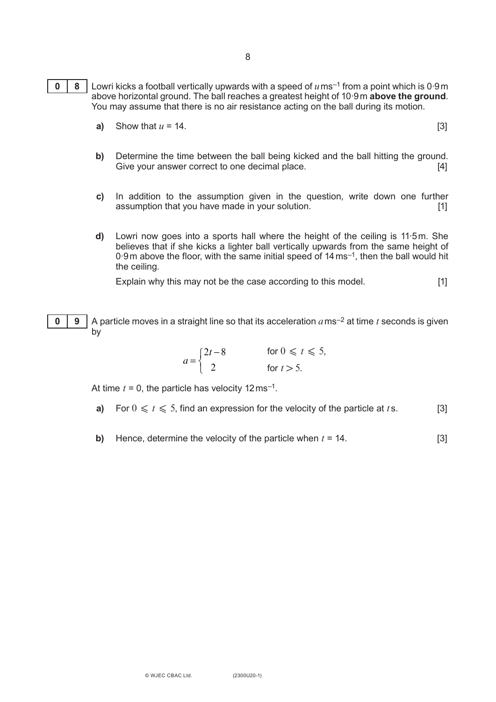**0 8**

- Lowri kicks a football vertically upwards with a speed of *u*ms–1 from a point which is 0∙9m above horizontal ground. The ball reaches a greatest height of 10∙9m **above the ground**. You may assume that there is no air resistance acting on the ball during its motion.
	- **a)** Show that  $u = 14$ . [3]
	- **b)** Determine the time between the ball being kicked and the ball hitting the ground. Give your answer correct to one decimal place.  $[4]$
	- **c)** In addition to the assumption given in the question, write down one further assumption that you have made in your solution. assumption that you have made in your solution.
	- **d)** Lowri now goes into a sports hall where the height of the ceiling is 11∙5m. She believes that if she kicks a lighter ball vertically upwards from the same height of 0∙9m above the floor, with the same initial speed of 14ms–1, then the ball would hit the ceiling.

Explain why this may not be the case according to this model. [1]

**9** A particle moves in a straight line so that its acceleration  $a$  ms<sup>-2</sup> at time *t* seconds is given by **0 9**

$$
a = \begin{cases} 2t - 8 & \text{for } 0 \leq t \leq 5, \\ 2 & \text{for } t > 5. \end{cases}
$$

At time  $t = 0$ , the particle has velocity 12 ms<sup>-1</sup>.

**a)** For  $0 \le t \le 5$ , find an expression for the velocity of the particle at *t* s. [3]

**b)** Hence, determine the velocity of the particle when  $t = 14$ . [3]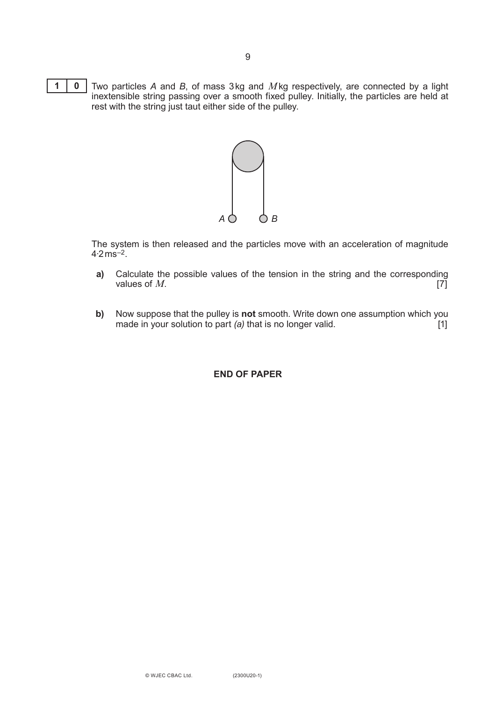

**1 0** Two particles *A* and *B*, of mass 3kg and *M*kg respectively, are connected by a light inextensible string passing over a smooth fixed pulley. Initially, the particles are held at rest with the string just taut either side of the pulley.



The system is then released and the particles move with an acceleration of magnitude 4∙2ms–2.

- **a)** Calculate the possible values of the tension in the string and the corresponding values of M. values of  $M$ .
- **b)** Now suppose that the pulley is **not** smooth. Write down one assumption which you made in your solution to part (a) that is no longer valid. made in your solution to part (a) that is no longer valid.

### **END OF PAPER**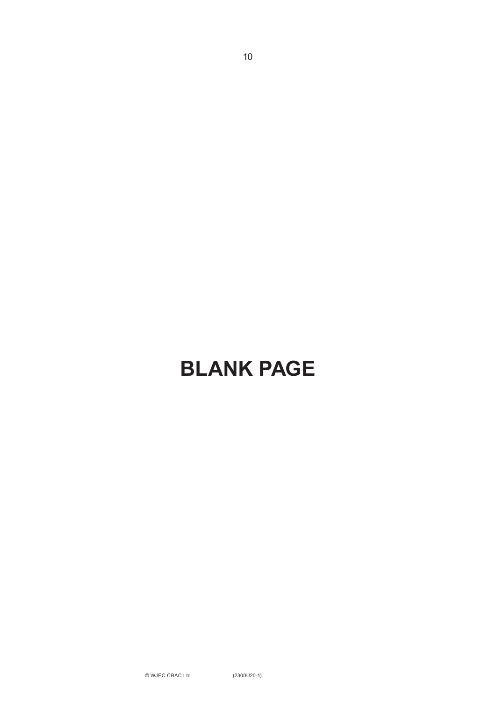## **BLANK PAGE**

10